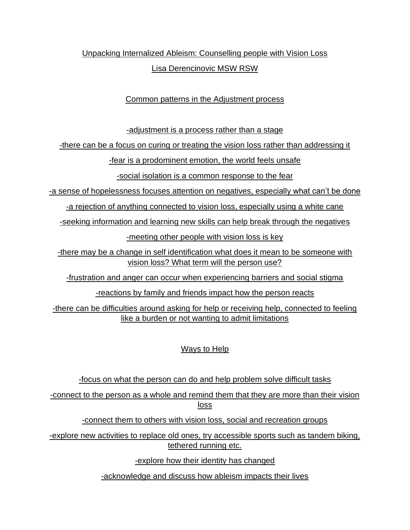# Unpacking Internalized Ableism: Counselling people with Vision Loss Lisa Derencinovic MSW RSW

## Common patterns in the Adjustment process

-adjustment is a process rather than a stage

-there can be a focus on curing or treating the vision loss rather than addressing it

-fear is a prodominent emotion, the world feels unsafe

-social isolation is a common response to the fear

-a sense of hopelessness focuses attention on negatives, especially what can't be done

-a rejection of anything connected to vision loss, especially using a white cane

-seeking information and learning new skills can help break through the negatives

-meeting other people with vision loss is key

-there may be a change in self identification what does it mean to be someone with vision loss? What term will the person use?

-frustration and anger can occur when experiencing barriers and social stigma

-reactions by family and friends impact how the person reacts

-there can be difficulties around asking for help or receiving help, connected to feeling like a burden or not wanting to admit limitations

## Ways to Help

-focus on what the person can do and help problem solve difficult tasks

-connect to the person as a whole and remind them that they are more than their vision loss

-connect them to others with vision loss, social and recreation groups

-explore new activities to replace old ones, try accessible sports such as tandem biking, tethered running etc.

-explore how their identity has changed

-acknowledge and discuss how ableism impacts their lives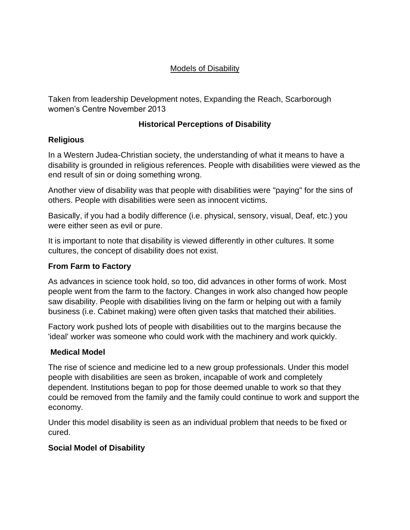## Models of Disability

Taken from leadership Development notes, Expanding the Reach, Scarborough women's Centre November 2013

## **Historical Perceptions of Disability**

## **Religious**

In a Western Judea-Christian society, the understanding of what it means to have a disability is grounded in religious references. People with disabilities were viewed as the end result of sin or doing something wrong.

Another view of disability was that people with disabilities were "paying" for the sins of others. People with disabilities were seen as innocent victims.

Basically, if you had a bodily difference (i.e. physical, sensory, visual, Deaf, etc.) you were either seen as evil or pure.

It is important to note that disability is viewed differently in other cultures. It some cultures, the concept of disability does not exist.

#### **From Farm to Factory**

As advances in science took hold, so too, did advances in other forms of work. Most people went from the farm to the factory. Changes in work also changed how people saw disability. People with disabilities living on the farm or helping out with a family business (i.e. Cabinet making) were often given tasks that matched their abilities.

Factory work pushed lots of people with disabilities out to the margins because the 'ideal' worker was someone who could work with the machinery and work quickly.

## **Medical Model**

The rise of science and medicine led to a new group professionals. Under this model people with disabilities are seen as broken, incapable of work and completely dependent. Institutions began to pop for those deemed unable to work so that they could be removed from the family and the family could continue to work and support the economy.

Under this model disability is seen as an individual problem that needs to be fixed or cured.

## **Social Model of Disability**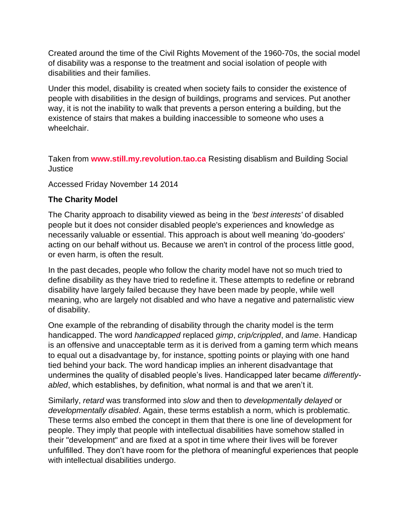Created around the time of the Civil Rights Movement of the 1960-70s, the social model of disability was a response to the treatment and social isolation of people with disabilities and their families.

Under this model, disability is created when society fails to consider the existence of people with disabilities in the design of buildings, programs and services. Put another way, it is not the inability to walk that prevents a person entering a building, but the existence of stairs that makes a building inaccessible to someone who uses a wheelchair.

Taken from **[www.still.my.revolution.tao.ca](http://www.still.my.revolution.tao.ca/)** Resisting disablism and Building Social **Justice** 

Accessed Friday November 14 2014

## **The Charity Model**

The Charity approach to disability viewed as being in the *'best interests'* of disabled people but it does not consider disabled people's experiences and knowledge as necessarily valuable or essential. This approach is about well meaning 'do-gooders' acting on our behalf without us. Because we aren't in control of the process little good, or even harm, is often the result.

In the past decades, people who follow the charity model have not so much tried to define disability as they have tried to redefine it. These attempts to redefine or rebrand disability have largely failed because they have been made by people, while well meaning, who are largely not disabled and who have a negative and paternalistic view of disability.

One example of the rebranding of disability through the charity model is the term handicapped. The word *handicapped* replaced *gimp*, *crip/crippled*, and *lame*. Handicap is an offensive and unacceptable term as it is derived from a gaming term which means to equal out a disadvantage by, for instance, spotting points or playing with one hand tied behind your back. The word handicap implies an inherent disadvantage that undermines the quality of disabled people's lives. Handicapped later became *differentlyabled*, which establishes, by definition, what normal is and that we aren't it.

Similarly, *retard* was transformed into *slow* and then to *developmentally delayed* or *developmentally disabled*. Again, these terms establish a norm, which is problematic. These terms also embed the concept in them that there is one line of development for people. They imply that people with intellectual disabilities have somehow stalled in their "development" and are fixed at a spot in time where their lives will be forever unfulfilled. They don't have room for the plethora of meaningful experiences that people with intellectual disabilities undergo.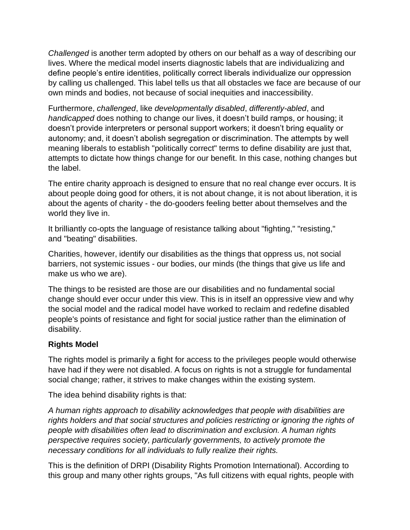*Challenged* is another term adopted by others on our behalf as a way of describing our lives. Where the medical model inserts diagnostic labels that are individualizing and define people's entire identities, politically correct liberals individualize our oppression by calling us challenged. This label tells us that all obstacles we face are because of our own minds and bodies, not because of social inequities and inaccessibility.

Furthermore, *challenged*, like *developmentally disabled*, *differently-abled*, and *handicapped* does nothing to change our lives, it doesn't build ramps, or housing; it doesn't provide interpreters or personal support workers; it doesn't bring equality or autonomy; and, it doesn't abolish segregation or discrimination. The attempts by well meaning liberals to establish "politically correct" terms to define disability are just that, attempts to dictate how things change for our benefit. In this case, nothing changes but the label.

The entire charity approach is designed to ensure that no real change ever occurs. It is about people doing good for others, it is not about change, it is not about liberation, it is about the agents of charity - the do-gooders feeling better about themselves and the world they live in.

It brilliantly co-opts the language of resistance talking about "fighting," "resisting," and "beating" disabilities.

Charities, however, identify our disabilities as the things that oppress us, not social barriers, not systemic issues - our bodies, our minds (the things that give us life and make us who we are).

The things to be resisted are those are our disabilities and no fundamental social change should ever occur under this view. This is in itself an oppressive view and why the [social model](http://still.my.revolution.tao.ca/socialmodel) and the [radical model](http://still.my.revolution.tao.ca/radical) have worked to reclaim and redefine disabled people's points of resistance and fight for social justice rather than the elimination of disability.

#### **Rights Model**

The rights model is primarily a fight for access to the privileges people would otherwise have had if they were not disabled. A focus on rights is not a struggle for fundamental social change; rather, it strives to make changes within the existing system.

The idea behind disability rights is that:

*A human rights approach to disability acknowledges that people with disabilities are rights holders and that social structures and policies restricting or ignoring the rights of people with disabilities often lead to discrimination and exclusion. A human rights perspective requires society, particularly governments, to actively promote the necessary conditions for all individuals to fully realize their rights.*

This is the definition of [DRPI \(Disability Rights Promotion International\).](http://www.yorku.ca/drpi/hRights.html) According to this group and many other rights groups, "As full citizens with equal rights, people with